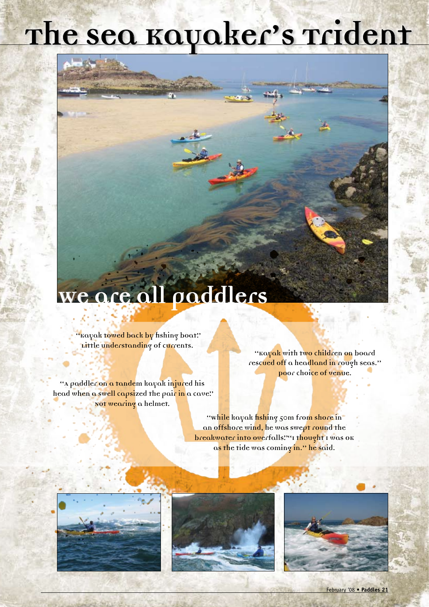## **The Sea Kayaker's Trident**

## **We are all paddlers**

**"Kayak towed back by fishing boat".** 

**"A paddler on a tandem kayak injured his**  head when a swell capsized the pair in a cave." **Not wearing a helmet.**

Little understanding of currents.<br> **Exavak** with two children on board **rescued off a headland in rough seas." Poor choice of venue.**

> **"While kayak fishing 50m from shore in an offshore wind, he was swept round the breakwater into overfalls**.""I thought I was ok **as the tide was coming in." he said.**







February '08 • **Paddles 21**